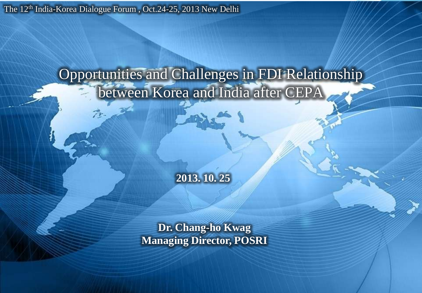The 12<sup>th</sup> India-Korea Dialogue Forum, Oct.24-25, 2013 New Delhi

# Opportunities and Challenges in FDI Relationship between Korea and India after CEPA

**2013. 10. 25** 

**Dr. Chang-ho Kwag Managing Director, POSRI**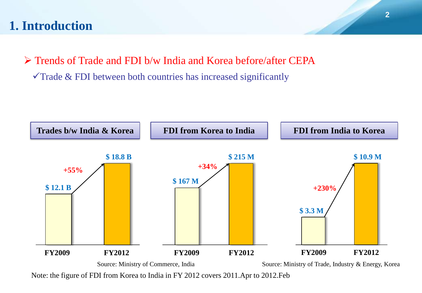# **1. Introduction**

 Trends of Trade and FDI b/w India and Korea before/after CEPA  $\checkmark$  Trade & FDI between both countries has increased significantly



Note: the figure of FDI from Korea to India in FY 2012 covers 2011.Apr to 2012.Feb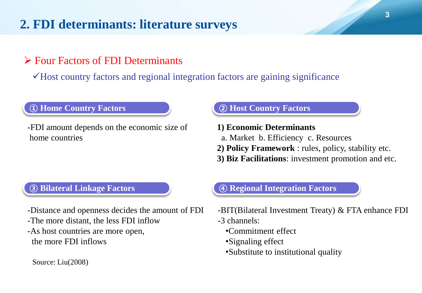# **2. FDI determinants: literature surveys**

# Four Factors of FDI Determinants

 $\checkmark$  Host country factors and regional integration factors are gaining significance

**① Home Country Factors ② Host Country Factors**

-FDI amount depends on the economic size of home countries

- **1) Economic Determinants**
- a. Market b. Efficiency c. Resources
- **2) Policy Framework** : rules, policy, stability etc.
- **3) Biz Facilitations**: investment promotion and etc.

#### **③ Bilateral Linkage Factors ④ Regional Integration Factors**

-Distance and openness decides the amount of FDI

- -The more distant, the less FDI inflow
- -As host countries are more open, the more FDI inflows

-BIT(Bilateral Investment Treaty) & FTA enhance FDI -3 channels:

- •Commitment effect
- •Signaling effect
- •Substitute to institutional quality

Source: Liu(2008)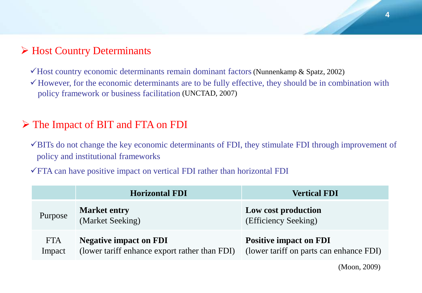### Host Country Determinants

Host country economic determinants remain dominant factors (Nunnenkamp & Spatz, 2002)

 $\checkmark$  However, for the economic determinants are to be fully effective, they should be in combination with policy framework or business facilitation (UNCTAD, 2007)

### The Impact of BIT and FTA on FDI

- $\checkmark$ BITs do not change the key economic determinants of FDI, they stimulate FDI through improvement of policy and institutional frameworks
- $\sqrt{FTA}$  can have positive impact on vertical FDI rather than horizontal FDI

|                      | <b>Horizontal FDI</b>                                                          | <b>Vertical FDI</b>                                                      |
|----------------------|--------------------------------------------------------------------------------|--------------------------------------------------------------------------|
| Purpose              | <b>Market entry</b><br>(Market Seeking)                                        | Low cost production<br>(Efficiency Seeking)                              |
| <b>FTA</b><br>Impact | <b>Negative impact on FDI</b><br>(lower tariff enhance export rather than FDI) | <b>Positive impact on FDI</b><br>(lower tariff on parts can enhance FDI) |

(Moon, 2009)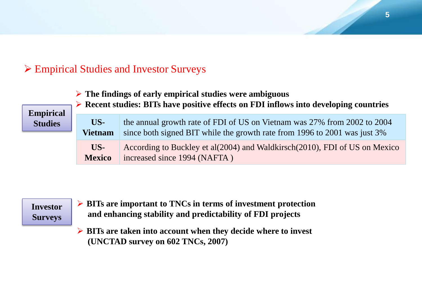# Empirical Studies and Investor Surveys

**The findings of early empirical studies were ambiguous**

**Empirical Studies**

**US-Vietnam** the annual growth rate of FDI of US on Vietnam was 27% from 2002 to 2004 since both signed BIT while the growth rate from 1996 to 2001 was just 3% **US-Mexico** According to Buckley et al(2004) and Waldkirsch(2010), FDI of US on Mexico increased since 1994 (NAFTA )

**Recent studies: BITs have positive effects on FDI inflows into developing countries**

**Investor Surveys**

- **BITs are important to TNCs in terms of investment protection and enhancing stability and predictability of FDI projects**
- **BITs are taken into account when they decide where to invest (UNCTAD survey on 602 TNCs, 2007)**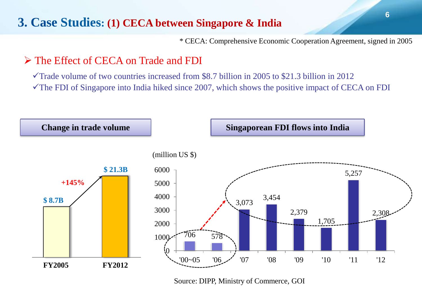# **3. Case Studies: (1) CECA between Singapore & India**

\* CECA: Comprehensive Economic Cooperation Agreement, signed in 2005

## The Effect of CECA on Trade and FDI

 $\checkmark$  Trade volume of two countries increased from \$8.7 billion in 2005 to \$21.3 billion in 2012  $\checkmark$  The FDI of Singapore into India hiked since 2007, which shows the positive impact of CECA on FDI



Source: DIPP, Ministry of Commerce, GOI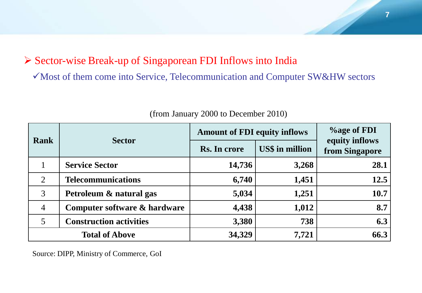# Sector-wise Break-up of Singaporean FDI Inflows into India

Most of them come into Service, Telecommunication and Computer SW&HW sectors

| <b>Rank</b>    | <b>Sector</b>                  | <b>Amount of FDI equity inflows</b> | <b>%age of FDI</b>     |                                  |
|----------------|--------------------------------|-------------------------------------|------------------------|----------------------------------|
|                |                                | Rs. In crore                        | <b>US\$</b> in million | equity inflows<br>from Singapore |
|                | <b>Service Sector</b>          | 14,736                              | 3,268                  | 28.1                             |
| 2              | <b>Telecommunications</b>      | 6,740                               | 1,451                  | 12.5                             |
| 3              | Petroleum & natural gas        | 5,034                               | 1,251                  | 10.7                             |
| $\overline{4}$ | Computer software & hardware   | 4,438                               | 1,012                  | 8.7                              |
| 5              | <b>Construction activities</b> | 3,380                               | 738                    | 6.3                              |
|                | <b>Total of Above</b>          | 34,329                              | 7,721                  | 66.3                             |

(from January 2000 to December 2010)

Source: DIPP, Ministry of Commerce, GoI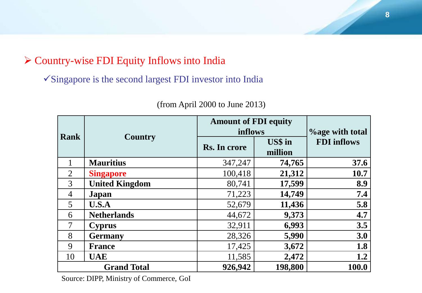# Country-wise FDI Equity Inflows into India

 $\checkmark$ Singapore is the second largest FDI investor into India

| <b>Rank</b>    |                       | <b>Amount of FDI equity</b><br>inflows | <b>Yoage with total</b> |                    |  |
|----------------|-----------------------|----------------------------------------|-------------------------|--------------------|--|
|                | <b>Country</b>        | Rs. In crore                           | US\$ in<br>million      | <b>FDI</b> inflows |  |
|                | <b>Mauritius</b>      | 347,247                                | 74,765                  | 37.6               |  |
| $\overline{2}$ | <b>Singapore</b>      | 100,418                                | 21,312                  | 10.7               |  |
| 3              | <b>United Kingdom</b> | 80,741                                 | 17,599                  | 8.9                |  |
| 4              | Japan                 | 71,223                                 | 14,749                  | 7.4                |  |
| 5              | U.S.A                 | 52,679                                 | 11,436                  | 5.8                |  |
| 6              | <b>Netherlands</b>    | 44,672                                 | 9,373                   | 4.7                |  |
| $\overline{7}$ | <b>Cyprus</b>         | 32,911                                 | 6,993                   | 3.5                |  |
| 8              | <b>Germany</b>        | 28,326                                 | 5,990                   | 3.0                |  |
| 9              | <b>France</b>         | 17,425                                 | 3,672                   | 1.8                |  |
| 10             | <b>UAE</b>            | 11,585                                 | 2,472                   | 1.2                |  |
|                | <b>Grand Total</b>    | 926,942                                | 198,800                 | 100.0              |  |

(from April 2000 to June 2013)

Source: DIPP, Ministry of Commerce, GoI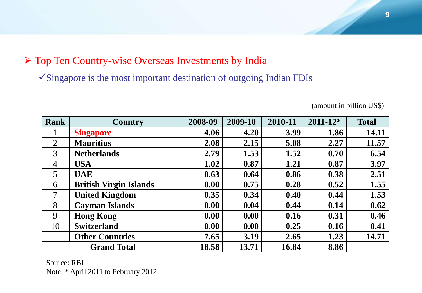# $\triangleright$  Top Ten Country-wise Overseas Investments by India

 $\checkmark$ Singapore is the most important destination of outgoing Indian FDIs

| <b>Rank</b>    | <b>Country</b>                | 2008-09 | 2009-10 | 2010-11 | $2011 - 12*$ | <b>Total</b> |
|----------------|-------------------------------|---------|---------|---------|--------------|--------------|
| $\bf{l}$       | <b>Singapore</b>              | 4.06    | 4.20    | 3.99    | 1.86         | 14.11        |
| 2              | <b>Mauritius</b>              | 2.08    | 2.15    | 5.08    | 2.27         | 11.57        |
| 3              | <b>Netherlands</b>            | 2.79    | 1.53    | 1.52    | 0.70         | 6.54         |
| $\overline{4}$ | <b>USA</b>                    | 1.02    | 0.87    | 1.21    | 0.87         | 3.97         |
| 5              | <b>UAE</b>                    | 0.63    | 0.64    | 0.86    | 0.38         | 2.51         |
| 6              | <b>British Virgin Islands</b> | 0.00    | 0.75    | 0.28    | 0.52         | 1.55         |
| 7              | <b>United Kingdom</b>         | 0.35    | 0.34    | 0.40    | 0.44         | 1.53         |
| 8              | <b>Cayman Islands</b>         | 0.00    | 0.04    | 0.44    | 0.14         | 0.62         |
| 9              | <b>Hong Kong</b>              | 0.00    | 0.00    | 0.16    | 0.31         | 0.46         |
| 10             | <b>Switzerland</b>            | 0.00    | 0.00    | 0.25    | 0.16         | 0.41         |
|                | <b>Other Countries</b>        | 7.65    | 3.19    | 2.65    | 1.23         | 14.71        |
|                | <b>Grand Total</b>            | 18.58   | 13.71   | 16.84   | 8.86         |              |

(amount in billion US\$)

Source: RBI Note: \* April 2011 to February 2012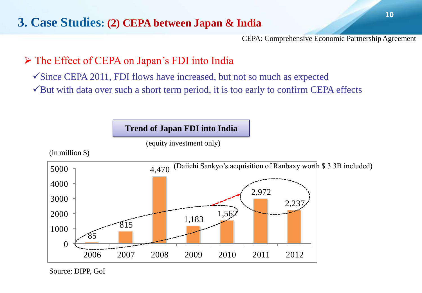# **3. Case Studies: (2) CEPA between Japan & India**

CEPA: Comprehensive Economic Partnership Agreement

# The Effect of CEPA on Japan's FDI into India

 $\checkmark$  Since CEPA 2011, FDI flows have increased, but not so much as expected  $\checkmark$ But with data over such a short term period, it is too early to confirm CEPA effects

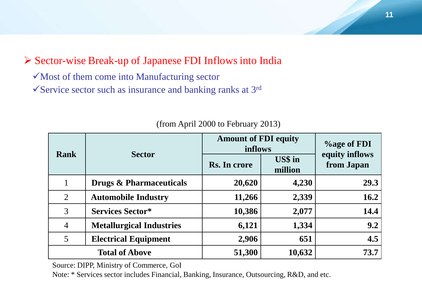# Sector-wise Break-up of Japanese FDI Inflows into India

 $\checkmark$  Most of them come into Manufacturing sector  $\checkmark$  Service sector such as insurance and banking ranks at 3<sup>rd</sup>

| <b>Rank</b>    |                                    | <b>Amount of FDI equity</b><br>inflows | <b>%age of FDI</b> |                              |
|----------------|------------------------------------|----------------------------------------|--------------------|------------------------------|
|                | <b>Sector</b>                      | Rs. In crore                           | US\$ in<br>million | equity inflows<br>from Japan |
|                | <b>Drugs &amp; Pharmaceuticals</b> | 20,620                                 | 4,230              | 29.3                         |
| 2              | <b>Automobile Industry</b>         | 11,266                                 | 2,339              | 16.2                         |
| 3              | <b>Services Sector*</b>            | 10,386                                 | 2,077              | 14.4                         |
| $\overline{4}$ | <b>Metallurgical Industries</b>    | 6,121                                  | 1,334              | 9.2                          |
| 5              | <b>Electrical Equipment</b>        | 2,906                                  | 651                | 4.5                          |
|                | <b>Total of Above</b>              | 51,300                                 | 10,632             | 73.7                         |

#### (from April 2000 to February 2013)

Source: DIPP, Ministry of Commerce, GoI

Note: \* Services sector includes Financial, Banking, Insurance, Outsourcing, R&D, and etc.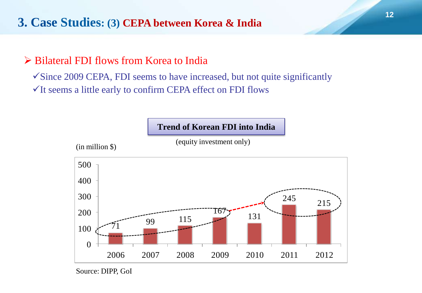# **3. Case Studies: (3) CEPA between Korea & India**

## Bilateral FDI flows from Korea to India

 $\checkmark$  Since 2009 CEPA, FDI seems to have increased, but not quite significantly  $\checkmark$  It seems a little early to confirm CEPA effect on FDI flows

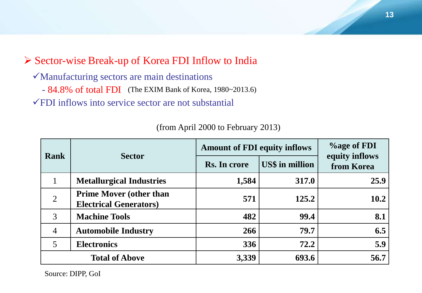# Sector-wise Break-up of Korea FDI Inflow to India

- Manufacturing sectors are main destinations
- 84.8% of total FDI (The EXIM Bank of Korea, 1980~2013.6)

FDI inflows into service sector are not substantial

| <b>Rank</b>    |                                                                  | <b>Amount of FDI equity inflows</b> | <b>V</b> <sub>o</sub> age of FDI |                              |  |
|----------------|------------------------------------------------------------------|-------------------------------------|----------------------------------|------------------------------|--|
|                | <b>Sector</b>                                                    | Rs. In crore                        | <b>US\$</b> in million           | equity inflows<br>from Korea |  |
| 1              | <b>Metallurgical Industries</b>                                  | 1,584                               | 317.0                            | 25.9                         |  |
| $\overline{2}$ | <b>Prime Mover (other than</b><br><b>Electrical Generators</b> ) | 571                                 | 125.2                            | 10.2                         |  |
| 3              | <b>Machine Tools</b>                                             | 482                                 | 99.4                             | 8.1                          |  |
| $\overline{4}$ | <b>Automobile Industry</b>                                       | 266                                 | 79.7                             | 6.5                          |  |
| $\overline{5}$ | <b>Electronics</b>                                               | 336                                 | 72.2                             | 5.9                          |  |
|                | <b>Total of Above</b>                                            | 3,339                               | 693.6                            | 56.7                         |  |

(from April 2000 to February 2013)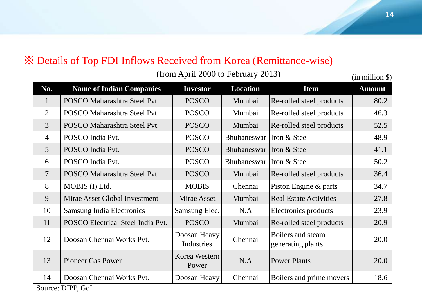# ※ Details of Top FDI Inflows Received from Korea (Remittance-wise)

 $(from April 2000 to February 2013)$  (in million \$)

| No.                      | <b>Name of Indian Companies</b>   | <b>Investor</b>            | <b>Location</b> | <b>Item</b>                            | <b>Amount</b> |
|--------------------------|-----------------------------------|----------------------------|-----------------|----------------------------------------|---------------|
| $\mathbf{1}$             | POSCO Maharashtra Steel Pvt.      | <b>POSCO</b>               | Mumbai          | Re-rolled steel products               | 80.2          |
| $\overline{2}$           | POSCO Maharashtra Steel Pvt.      | <b>POSCO</b>               | Mumbai          | Re-rolled steel products               | 46.3          |
| $\overline{3}$           | POSCO Maharashtra Steel Pvt.      | <b>POSCO</b>               | Mumbai          | Re-rolled steel products               | 52.5          |
| $\overline{4}$           | POSCO India Pvt.                  | <b>POSCO</b>               | Bhubaneswar     | Iron & Steel                           | 48.9          |
| 5 <sup>5</sup>           | POSCO India Pvt.                  | <b>POSCO</b>               | Bhubaneswar     | Iron & Steel                           | 41.1          |
| 6                        | POSCO India Pvt.                  | <b>POSCO</b>               | Bhubaneswar     | Iron & Steel                           | 50.2          |
| $\overline{\mathcal{L}}$ | POSCO Maharashtra Steel Pvt.      | <b>POSCO</b>               | Mumbai          | Re-rolled steel products               | 36.4          |
| 8                        | MOBIS (I) Ltd.                    | <b>MOBIS</b>               | Chennai         | Piston Engine & parts                  | 34.7          |
| 9                        | Mirae Asset Global Investment     | Mirae Asset                | Mumbai          | <b>Real Estate Activities</b>          | 27.8          |
| 10                       | <b>Samsung India Electronics</b>  | Samsung Elec.              | N.A             | Electronics products                   | 23.9          |
| 11                       | POSCO Electrical Steel India Pvt. | <b>POSCO</b>               | Mumbai          | Re-rolled steel products               | 20.9          |
| 12                       | Doosan Chennai Works Pvt.         | Doosan Heavy<br>Industries | Chennai         | Boilers and steam<br>generating plants | 20.0          |
| 13                       | <b>Pioneer Gas Power</b>          | Korea Western<br>Power     | N.A             | <b>Power Plants</b>                    | 20.0          |
| 14                       | Doosan Chennai Works Pvt.         | Doosan Heavy               | Chennai         | Boilers and prime movers               | 18.6          |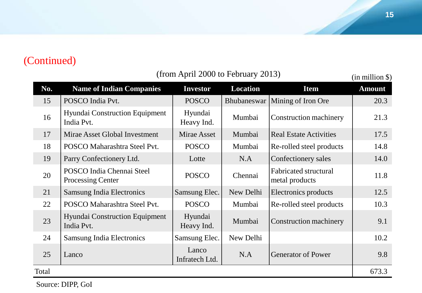# (Continued)

| No.   | <b>Name of Indian Companies</b>                       | <b>Investor</b>         | <b>Location</b> | <b>Item</b>                                    | <b>Amount</b> |
|-------|-------------------------------------------------------|-------------------------|-----------------|------------------------------------------------|---------------|
| 15    | POSCO India Pvt.                                      | <b>POSCO</b>            | Bhubaneswar     | Mining of Iron Ore                             | 20.3          |
| 16    | <b>Hyundai Construction Equipment</b><br>India Pvt.   | Hyundai<br>Heavy Ind.   | Mumbai          | Construction machinery                         | 21.3          |
| 17    | Mirae Asset Global Investment                         | Mirae Asset             | Mumbai          | <b>Real Estate Activities</b>                  | 17.5          |
| 18    | POSCO Maharashtra Steel Pvt.                          | <b>POSCO</b>            | Mumbai          | Re-rolled steel products                       | 14.8          |
| 19    | Parry Confectionery Ltd.                              | Lotte                   | N.A             | Confectionery sales                            | 14.0          |
| 20    | POSCO India Chennai Steel<br><b>Processing Center</b> | <b>POSCO</b>            | Chennai         | <b>Fabricated structural</b><br>metal products | 11.8          |
| 21    | <b>Samsung India Electronics</b>                      | Samsung Elec.           | New Delhi       | Electronics products                           | 12.5          |
| 22    | POSCO Maharashtra Steel Pvt.                          | <b>POSCO</b>            | Mumbai          | Re-rolled steel products                       | 10.3          |
| 23    | <b>Hyundai Construction Equipment</b><br>India Pvt.   | Hyundai<br>Heavy Ind.   | Mumbai          | Construction machinery                         | 9.1           |
| 24    | <b>Samsung India Electronics</b>                      | Samsung Elec.           | New Delhi       |                                                | 10.2          |
| 25    | Lanco                                                 | Lanco<br>Infratech Ltd. | N.A             | <b>Generator of Power</b>                      | 9.8           |
| Total |                                                       |                         |                 |                                                | 673.3         |

 $(from April 2000 to February 2013)$  (in million \$)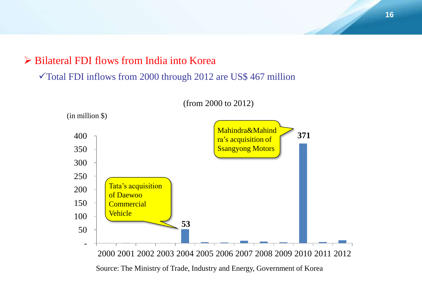### Bilateral FDI flows from India into Korea

#### Total FDI inflows from 2000 through 2012 are US\$ 467 million



(from 2000 to 2012)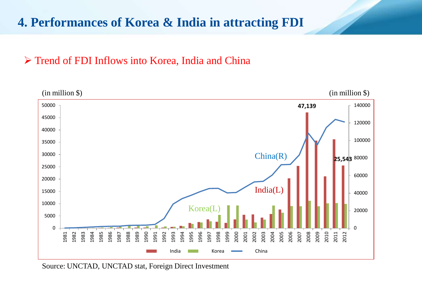# **4. Performances of Korea & India in attracting FDI**

# Trend of FDI Inflows into Korea, India and China



Source: UNCTAD, UNCTAD stat, Foreign Direct Investment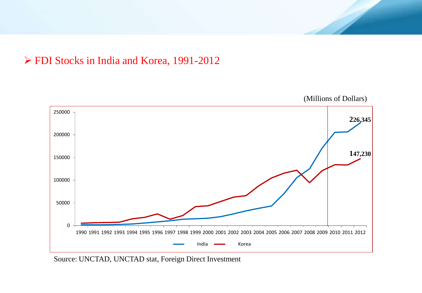



Source: UNCTAD, UNCTAD stat, Foreign Direct Investment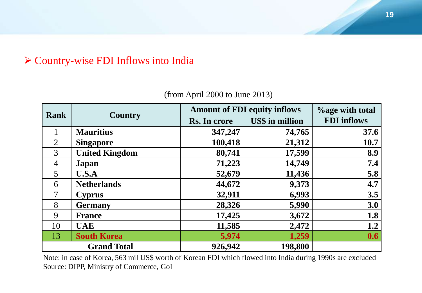# Country-wise FDI Inflows into India

| <b>Rank</b>     |                       | <b>Amount of FDI equity inflows</b> | <b>%age with total</b> |                    |
|-----------------|-----------------------|-------------------------------------|------------------------|--------------------|
|                 | <b>Country</b>        | Rs. In crore                        | <b>US\$</b> in million | <b>FDI</b> inflows |
|                 | <b>Mauritius</b>      | 347,247                             | 74,765                 | 37.6               |
| $\overline{2}$  | <b>Singapore</b>      | 100,418                             | 21,312                 | 10.7               |
| 3               | <b>United Kingdom</b> | 80,741                              | 17,599                 | 8.9                |
| $\overline{4}$  | Japan                 | 71,223                              | 14,749                 | 7.4                |
| $5\overline{)}$ | <b>U.S.A</b>          | 52,679                              | 11,436                 | 5.8                |
| 6               | <b>Netherlands</b>    | 44,672                              | 9,373                  | 4.7                |
| $\overline{7}$  | <b>Cyprus</b>         | 32,911                              | 6,993                  | 3.5                |
| 8               | <b>Germany</b>        | 28,326                              | 5,990                  | 3.0                |
| 9               | <b>France</b>         | 17,425                              | 3,672                  | 1.8                |
| 10              | <b>UAE</b>            | 11,585                              | 2,472                  | 1.2                |
| 13              | <b>South Korea</b>    | 5,974                               | 1,259                  | 0.6                |
|                 | <b>Grand Total</b>    | 926,942                             | 198,800                |                    |

(from April 2000 to June 2013)

Note: in case of Korea, 563 mil US\$ worth of Korean FDI which flowed into India during 1990s are excluded Source: DIPP, Ministry of Commerce, GoI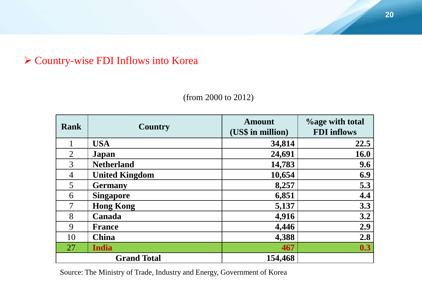# Country-wise FDI Inflows into Korea

| <b>Rank</b>    | <b>Country</b>        | <b>Amount</b><br>(US\$ in million) | <b>Yoage with total</b><br><b>FDI</b> inflows |
|----------------|-----------------------|------------------------------------|-----------------------------------------------|
|                | <b>USA</b>            | 34,814                             | 22.5                                          |
| $\overline{2}$ | Japan                 | 24,691                             | <b>16.0</b>                                   |
| 3              | <b>Netherland</b>     | 14,783                             | 9.6                                           |
| 4              | <b>United Kingdom</b> | 10,654                             | 6.9                                           |
| 5              | <b>Germany</b>        | 8,257                              | 5.3                                           |
| 6              | <b>Singapore</b>      | 6,851                              | 4.4                                           |
| 7              | <b>Hong Kong</b>      | 5,137                              | 3.3                                           |
| 8              | Canada                | 4,916                              | 3.2                                           |
| 9              | <b>France</b>         | 4,446                              | 2.9                                           |
| 10             | <b>China</b>          | 4,388                              | 2.8                                           |
| 27             | <b>India</b>          | 467                                | 0.3                                           |
|                | <b>Grand Total</b>    | 154,468                            |                                               |

(from 2000 to 2012)

Source: The Ministry of Trade, Industry and Energy, Government of Korea

 $\overline{\phantom{a}}$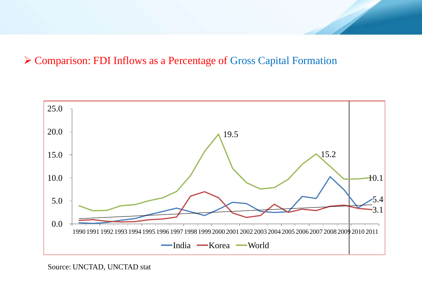# Comparison: FDI Inflows as a Percentage of Gross Capital Formation



Source: UNCTAD, UNCTAD stat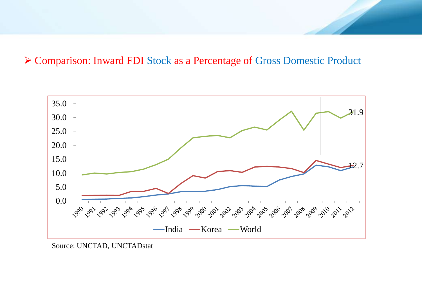#### Comparison: Inward FDI Stock as a Percentage of Gross Domestic Product



Source: UNCTAD, UNCTADstat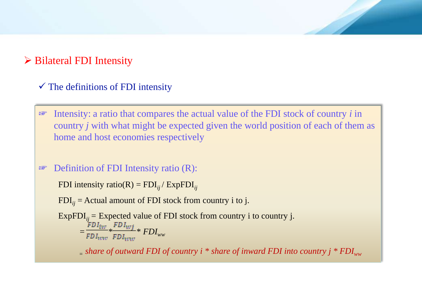# $\triangleright$  Bilateral FDI Intensity

#### $\checkmark$  The definitions of FDI intensity

☞ Intensity: a ratio that compares the actual value of the FDI stock of country *i* in country *j* with what might be expected given the world position of each of them as home and host economies respectively

#### ☞ Definition of FDI Intensity ratio (R):

FDI intensity ratio(R) =  $FDI_{ii}/ExpFDI_{ii}$ 

 $FDI_{ij}$  = Actual amount of FDI stock from country i to j.

ExpFDI $_{ij}$  = Expected value of FDI stock from country i to country j.  $=\frac{{\mathcal{F}} D I_{\mathcal{i}\mathcal{W}}}{\mathcal{F} D I_{\mathcal{W}\mathcal{W}}} * \frac{\mathcal{F} D I_{\mathcal{W} \mathcal{Y}}}{\mathcal{F} D I_{\mathcal{W}\mathcal{W}}} * \mathcal{F} D I_{\mathcal{W}\mathcal{W}}$ 

 *= share of outward FDI of country i \* share of inward FDI into country j \* FDIww*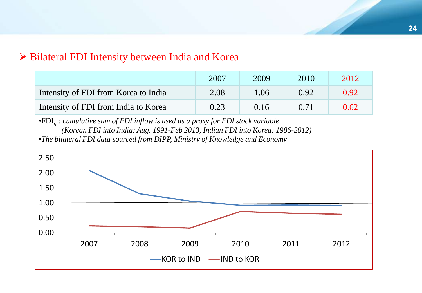#### $\triangleright$  Bilateral FDI Intensity between India and Korea

|                                      | 2007 | 2009 | 2010 | 2012 |
|--------------------------------------|------|------|------|------|
| Intensity of FDI from Korea to India | 2.08 | 1.06 | 0.92 | 0.92 |
| Intensity of FDI from India to Korea | 0.23 | 0.16 | 0.71 | 0.62 |

•FDI*ij : cumulative sum of FDI inflow is used as a proxy for FDI stock variable (Korean FDI into India: Aug. 1991-Feb 2013, Indian FDI into Korea: 1986-2012)* •*The bilateral FDI data sourced from DIPP, Ministry of Knowledge and Economy*

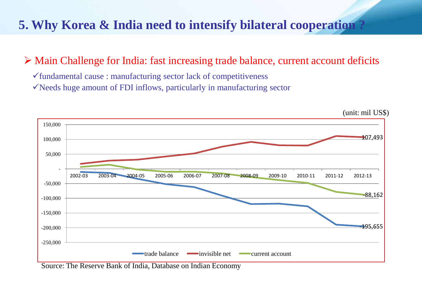# **5. Why Korea & India need to intensify bilateral cooperation ?**

# Main Challenge for India: fast increasing trade balance, current account deficits

 $\checkmark$  fundamental cause : manufacturing sector lack of competitiveness

 $\checkmark$  Needs huge amount of FDI inflows, particularly in manufacturing sector



Source: The Reserve Bank of India, Database on Indian Economy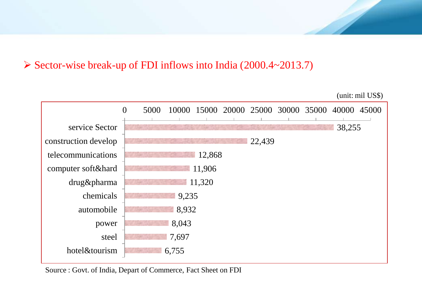## $\triangleright$  Sector-wise break-up of FDI inflows into India (2000.4~2013.7)



Source : Govt. of India, Depart of Commerce, Fact Sheet on FDI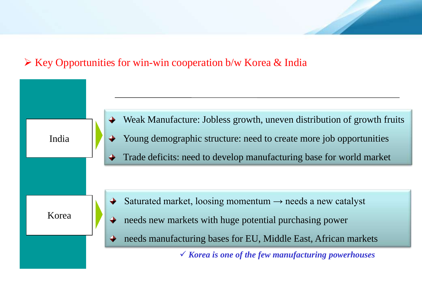# $\triangleright$  Key Opportunities for win-win cooperation b/w Korea & India



Weak Manufacture: Jobless growth, uneven distribution of growth fruits Young demographic structure: need to create more job opportunities Trade deficits: need to develop manufacturing base for world market

- Saturated market, loosing momentum  $\rightarrow$  needs a new catalyst
- needs new markets with huge potential purchasing power
- needs manufacturing bases for EU, Middle East, African markets

*Korea is one of the few manufacturing powerhouses*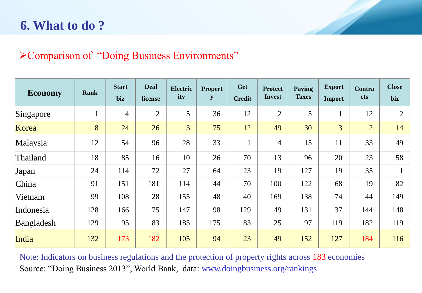# **6. What to do ?**

# Comparison of "Doing Business Environments"

| <b>Economy</b> | <b>Rank</b> | <b>Start</b><br>biz | <b>Deal</b><br>license | <b>Electric</b><br>ity | <b>Propert</b><br>${\bf y}$ | Get<br><b>Credit</b> | <b>Protect</b><br><b>Invest</b> | <b>Paying</b><br><b>Taxes</b> | <b>Export</b><br>Import | Contra<br>cts  | <b>Close</b><br>biz |
|----------------|-------------|---------------------|------------------------|------------------------|-----------------------------|----------------------|---------------------------------|-------------------------------|-------------------------|----------------|---------------------|
| Singapore      |             | $\overline{4}$      | $\overline{2}$         | 5                      | 36                          | 12                   | $\overline{2}$                  | 5                             | $\mathbf{1}$            | 12             | $\overline{2}$      |
| Korea          | 8           | 24                  | 26                     | $\overline{3}$         | 75                          | 12                   | 49                              | 30                            | 3                       | $\overline{2}$ | 14                  |
| Malaysia       | 12          | 54                  | 96                     | 28                     | 33                          | $\mathbf{1}$         | $\overline{4}$                  | 15                            | 11                      | 33             | 49                  |
| Thailand       | 18          | 85                  | 16                     | 10                     | 26                          | 70                   | 13                              | 96                            | 20                      | 23             | 58                  |
| Japan          | 24          | 114                 | 72                     | 27                     | 64                          | 23                   | 19                              | 127                           | 19                      | 35             |                     |
| China          | 91          | 151                 | 181                    | 114                    | 44                          | 70                   | 100                             | 122                           | 68                      | 19             | 82                  |
| Vietnam        | 99          | 108                 | 28                     | 155                    | 48                          | 40                   | 169                             | 138                           | 74                      | 44             | 149                 |
| Indonesia      | 128         | 166                 | 75                     | 147                    | 98                          | 129                  | 49                              | 131                           | 37                      | 144            | 148                 |
| Bangladesh     | 129         | 95                  | 83                     | 185                    | 175                         | 83                   | 25                              | 97                            | 119                     | 182            | 119                 |
| India          | 132         | 173                 | 182                    | 105                    | 94                          | 23                   | 49                              | 152                           | 127                     | 184            | 116                 |

Note: Indicators on business regulations and the protection of property rights across 183 economies Source: "Doing Business 2013", World Bank, data: www.doingbusiness.org/rankings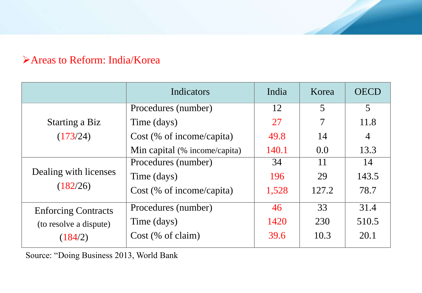# Areas to Reform: India/Korea

|                                                                 | Indicators                    | India | Korea | <b>OECD</b>    |
|-----------------------------------------------------------------|-------------------------------|-------|-------|----------------|
| <b>Starting a Biz</b><br>(173/24)                               | Procedures (number)           | 12    | 5     | 5              |
|                                                                 | Time (days)                   | 27    | 7     | 11.8           |
|                                                                 | $Cost$ (% of income/capita)   | 49.8  | 14    | $\overline{4}$ |
|                                                                 | Min capital (% income/capita) | 140.1 | 0.0   | 13.3           |
| Dealing with licenses<br>(182/26)                               | Procedures (number)           | 34    | 11    | 14             |
|                                                                 | Time (days)                   | 196   | 29    | 143.5          |
|                                                                 | $Cost$ (% of income/capita)   | 1,528 | 127.2 | 78.7           |
| <b>Enforcing Contracts</b><br>(to resolve a dispute)<br>(184/2) | Procedures (number)           | 46    | 33    | 31.4           |
|                                                                 | Time (days)                   | 1420  | 230   | 510.5          |
|                                                                 | $Cost$ (% of claim)           | 39.6  | 10.3  | 20.1           |

Source: "Doing Business 2013, World Bank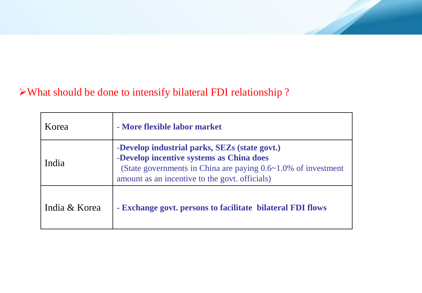# What should be done to intensify bilateral FDI relationship ?

| Korea         | - More flexible labor market                                                                                                                                                                                         |  |
|---------------|----------------------------------------------------------------------------------------------------------------------------------------------------------------------------------------------------------------------|--|
| India         | -Develop industrial parks, SEZs (state govt.)<br>-Develop incentive systems as China does<br>(State governments in China are paying $0.6 \sim 1.0\%$ of investment<br>amount as an incentive to the govt. officials) |  |
| India & Korea | - Exchange govt. persons to facilitate bilateral FDI flows                                                                                                                                                           |  |